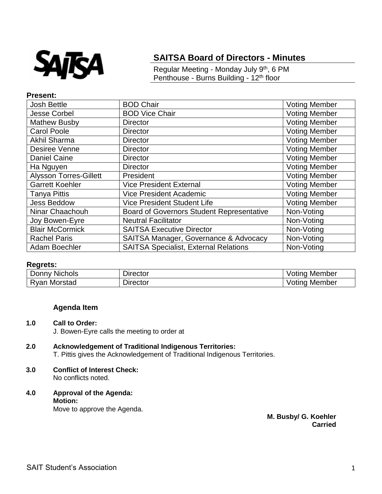

# **SAITSA Board of Directors - Minutes**

Regular Meeting - Monday July 9th, 6 PM Penthouse - Burns Building - 12<sup>th</sup> floor

### **Present:**

| <b>Josh Bettle</b>            | <b>BOD Chair</b>                                 | <b>Voting Member</b> |
|-------------------------------|--------------------------------------------------|----------------------|
| <b>Jesse Corbel</b>           | <b>BOD Vice Chair</b>                            | <b>Voting Member</b> |
| <b>Mathew Busby</b>           | <b>Director</b>                                  | <b>Voting Member</b> |
| <b>Carol Poole</b>            | <b>Director</b>                                  | <b>Voting Member</b> |
| <b>Akhil Sharma</b>           | <b>Director</b>                                  | <b>Voting Member</b> |
| Desiree Venne                 | <b>Director</b>                                  | <b>Voting Member</b> |
| <b>Daniel Caine</b>           | <b>Director</b>                                  | <b>Voting Member</b> |
| Ha Nguyen                     | <b>Director</b>                                  | <b>Voting Member</b> |
| <b>Alysson Torres-Gillett</b> | President                                        | <b>Voting Member</b> |
| <b>Garrett Koehler</b>        | <b>Vice President External</b>                   | <b>Voting Member</b> |
| <b>Tanya Pittis</b>           | <b>Vice President Academic</b>                   | <b>Voting Member</b> |
| <b>Jess Beddow</b>            | <b>Vice President Student Life</b>               | <b>Voting Member</b> |
| Ninar Chaachouh               | <b>Board of Governors Student Representative</b> | Non-Voting           |
| Joy Bowen-Eyre                | <b>Neutral Facilitator</b>                       | Non-Voting           |
| <b>Blair McCormick</b>        | <b>SAITSA Executive Director</b>                 | Non-Voting           |
| <b>Rachel Paris</b>           | SAITSA Manager, Governance & Advocacy            | Non-Voting           |
| Adam Boechler                 | <b>SAITSA Specialist, External Relations</b>     | Non-Voting           |

### **Regrets:**

| <b>Nichols</b><br>Donny | Director    | Member<br>/otinc |
|-------------------------|-------------|------------------|
| Morstad<br>:var         | $D$ irector | /otinc<br>Member |

#### **Agenda Item**

**1.0 Call to Order:** J. Bowen-Eyre calls the meeting to order at

# **2.0 Acknowledgement of Traditional Indigenous Territories:**

- T. Pittis gives the Acknowledgement of Traditional Indigenous Territories.
- **3.0 Conflict of Interest Check:** No conflicts noted.
- **4.0 Approval of the Agenda: Motion:** Move to approve the Agenda.

**M. Busby/ G. Koehler Carried**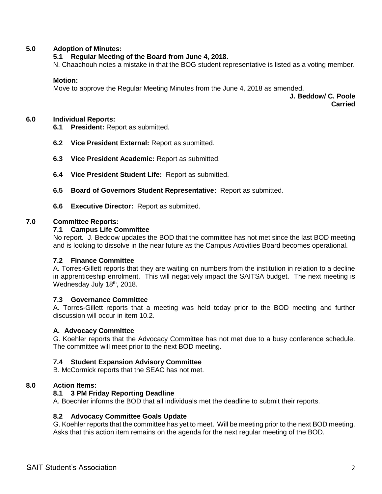### **5.0 Adoption of Minutes:**

### **5.1 Regular Meeting of the Board from June 4, 2018.**

N. Chaachouh notes a mistake in that the BOG student representative is listed as a voting member.

#### **Motion:**

Move to approve the Regular Meeting Minutes from the June 4, 2018 as amended.

**J. Beddow/ C. Poole Carried**

#### **6.0 Individual Reports:**

- **6.1 President:** Report as submitted.
- **6.2 Vice President External:** Report as submitted.
- **6.3 Vice President Academic:** Report as submitted.
- **6.4 Vice President Student Life:** Report as submitted.
- **6.5 Board of Governors Student Representative:** Report as submitted.
- **6.6 Executive Director:** Report as submitted.

### **7.0 Committee Reports:**

### **7.1 Campus Life Committee**

No report. J. Beddow updates the BOD that the committee has not met since the last BOD meeting and is looking to dissolve in the near future as the Campus Activities Board becomes operational.

#### **7.2 Finance Committee**

A. Torres-Gillett reports that they are waiting on numbers from the institution in relation to a decline in apprenticeship enrolment. This will negatively impact the SAITSA budget. The next meeting is Wednesday July 18th, 2018.

#### **7.3 Governance Committee**

A. Torres-Gillett reports that a meeting was held today prior to the BOD meeting and further discussion will occur in item 10.2.

### **A. Advocacy Committee**

G. Koehler reports that the Advocacy Committee has not met due to a busy conference schedule. The committee will meet prior to the next BOD meeting.

### **7.4 Student Expansion Advisory Committee**

B. McCormick reports that the SEAC has not met.

### **8.0 Action Items:**

### **8.1 3 PM Friday Reporting Deadline**

A. Boechler informs the BOD that all individuals met the deadline to submit their reports.

### **8.2 Advocacy Committee Goals Update**

G. Koehler reports that the committee has yet to meet. Will be meeting prior to the next BOD meeting. Asks that this action item remains on the agenda for the next regular meeting of the BOD.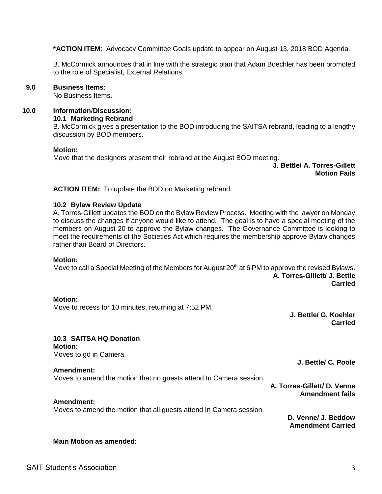**\*ACTION ITEM**: Advocacy Committee Goals update to appear on August 13, 2018 BOD Agenda.

B. McCormick announces that in line with the strategic plan that Adam Boechler has been promoted to the role of Specialist, External Relations.

#### **9.0 Business Items:**

No Business Items.

### **10.0 Information**/**Discussion:**

#### **10.1 Marketing Rebrand**

B. McCormick gives a presentation to the BOD introducing the SAITSA rebrand, leading to a lengthy discussion by BOD members.

#### **Motion:**

Move that the designers present their rebrand at the August BOD meeting.

**J. Bettle/ A. Torres-Gillett Motion Fails**

**ACTION ITEM:** To update the BOD on Marketing rebrand.

#### **10.2 Bylaw Review Update**

A. Torres-Gillett updates the BOD on the Bylaw Review Process. Meeting with the lawyer on Monday to discuss the changes if anyone would like to attend. The goal is to have a special meeting of the members on August 20 to approve the Bylaw changes. The Governance Committee is looking to meet the requirements of the Societies Act which requires the membership approve Bylaw changes rather than Board of Directors.

#### **Motion:**

Move to call a Special Meeting of the Members for August 20<sup>th</sup> at 6 PM to approve the revised Bylaws. **A. Torres-Gillett/ J. Bettle Carried**

#### **Motion:**

Move to recess for 10 minutes, returning at 7:52 PM.

**J. Bettle/ G. Koehler Carried**

#### **10.3 SAITSA HQ Donation**

**Motion:**  Moves to go in Camera.

#### **Amendment:**

Moves to amend the motion that no guests attend In Camera session.

**J. Bettle/ C. Poole**

**A. Torres-Gillett/ D. Venne Amendment fails**

### **Amendment:**

Moves to amend the motion that all guests attend In Camera session.

**D. Venne/ J. Beddow Amendment Carried**

#### **Main Motion as amended:**